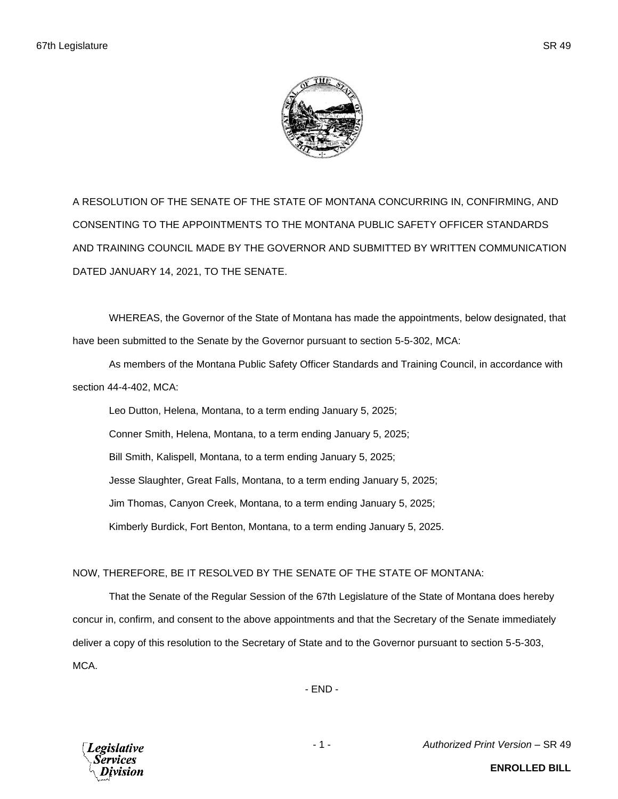

A RESOLUTION OF THE SENATE OF THE STATE OF MONTANA CONCURRING IN, CONFIRMING, AND CONSENTING TO THE APPOINTMENTS TO THE MONTANA PUBLIC SAFETY OFFICER STANDARDS AND TRAINING COUNCIL MADE BY THE GOVERNOR AND SUBMITTED BY WRITTEN COMMUNICATION DATED JANUARY 14, 2021, TO THE SENATE.

WHEREAS, the Governor of the State of Montana has made the appointments, below designated, that have been submitted to the Senate by the Governor pursuant to section 5-5-302, MCA:

As members of the Montana Public Safety Officer Standards and Training Council, in accordance with section 44-4-402, MCA:

Leo Dutton, Helena, Montana, to a term ending January 5, 2025; Conner Smith, Helena, Montana, to a term ending January 5, 2025; Bill Smith, Kalispell, Montana, to a term ending January 5, 2025; Jesse Slaughter, Great Falls, Montana, to a term ending January 5, 2025; Jim Thomas, Canyon Creek, Montana, to a term ending January 5, 2025; Kimberly Burdick, Fort Benton, Montana, to a term ending January 5, 2025.

## NOW, THEREFORE, BE IT RESOLVED BY THE SENATE OF THE STATE OF MONTANA:

That the Senate of the Regular Session of the 67th Legislature of the State of Montana does hereby concur in, confirm, and consent to the above appointments and that the Secretary of the Senate immediately deliver a copy of this resolution to the Secretary of State and to the Governor pursuant to section 5-5-303, MCA.

- END -



- 1 - *Authorized Print Version* – SR 49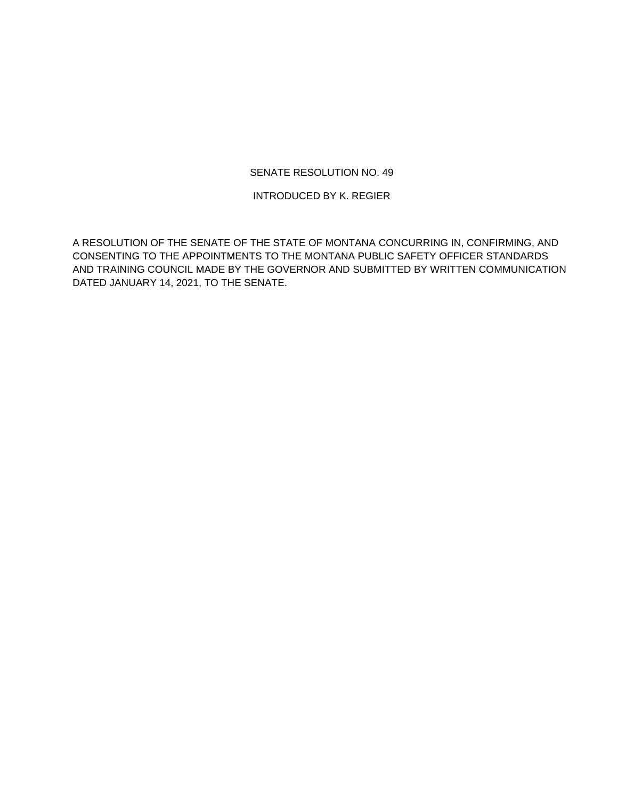## SENATE RESOLUTION NO. 49

INTRODUCED BY K. REGIER

A RESOLUTION OF THE SENATE OF THE STATE OF MONTANA CONCURRING IN, CONFIRMING, AND CONSENTING TO THE APPOINTMENTS TO THE MONTANA PUBLIC SAFETY OFFICER STANDARDS AND TRAINING COUNCIL MADE BY THE GOVERNOR AND SUBMITTED BY WRITTEN COMMUNICATION DATED JANUARY 14, 2021, TO THE SENATE.